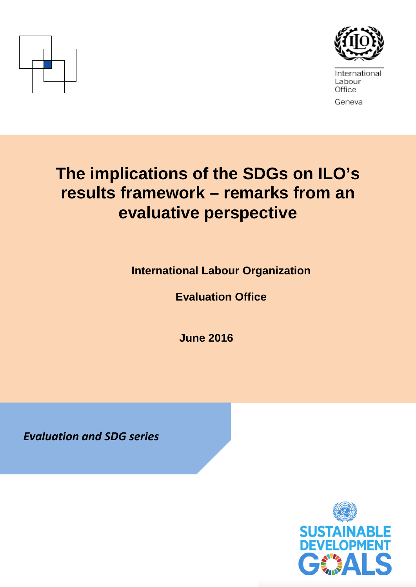



International Labour Office Geneva

# **The implications of the SDGs on ILO's results framework – remarks from an evaluative perspective**

**International Labour Organization** 

**Evaluation Office**

**June 2016**

*Evaluation and SDG series*

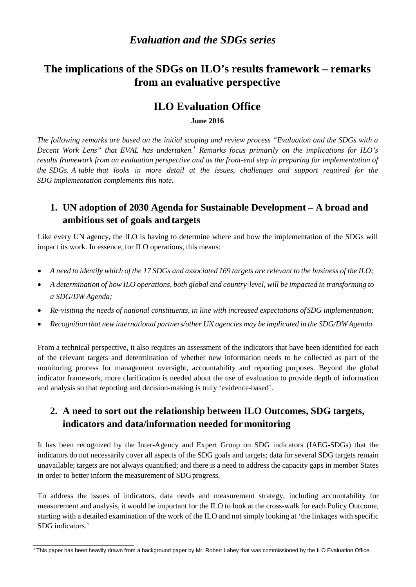## **The implications of the SDGs on ILO's results framework – remarks from an evaluative perspective**

#### **ILO Evaluation Office**

**June 2016**

*The following remarks are based on the initial scoping and review process "Evaluation and the SDGs with a Decent Work Lens" that EVAL has undertaken.<sup>1</sup> [R](#page-1-0)emarks focus primarily on the implications for ILO's results framework from an evaluation perspective and as the front-end step in preparing for implementation of the SDGs. A table that looks in more detail at the issues, challenges and support required for the SDG implementation complements this note.*

#### **1. UN adoption of 2030 Agenda for Sustainable Development – A broad and ambitious set of goals and targets**

Like every UN agency, the ILO is having to determine where and how the implementation of the SDGs will impact its work. In essence, for ILO operations, this means:

- A need to identify which of the 17 SDGs and associated 169 targets are relevant to the business of the ILO;
- *A determination of how ILO operations, both global and country-level, will be impacted in transforming to a SDG/DW Agenda;*
- *Re-visiting the needs of national constituents, in line with increased expectations ofSDG implementation;*
- *Recognition that new international partners/other UN agencies may be implicated in the SDG/DWAgenda.*

From a technical perspective, it also requires an assessment of the indicators that have been identified for each of the relevant targets and determination of whether new information needs to be collected as part of the monitoring process for management oversight, accountability and reporting purposes. Beyond the global indicator framework, more clarification is needed about the use of evaluation to provide depth of information and analysis so that reporting and decision-making is truly 'evidence-based'.

#### **2. A need to sort out the relationship between ILO Outcomes, SDG targets, indicators and data/information needed formonitoring**

It has been recognized by the Inter-Agency and Expert Group on SDG indicators (IAEG-SDGs) that the indicators do not necessarily cover all aspects of the SDG goals and targets; data for several SDG targets remain unavailable; targets are not always quantified; and there is a need to address the capacity gaps in member States in order to better inform the measurement of SDG progress.

To address the issues of indicators, data needs and measurement strategy, including accountability for measurement and analysis, it would be important for the ILO to look at the cross-walk for each Policy Outcome, starting with a detailed examination of the work of the ILO and not simply looking at 'the linkages with specific SDG indicators.'

<span id="page-1-0"></span><sup>&</sup>lt;sup>1</sup> This paper has been heavily drawn from a background paper by Mr. Robert Lahey that was commissioned by the ILO Evaluation Office.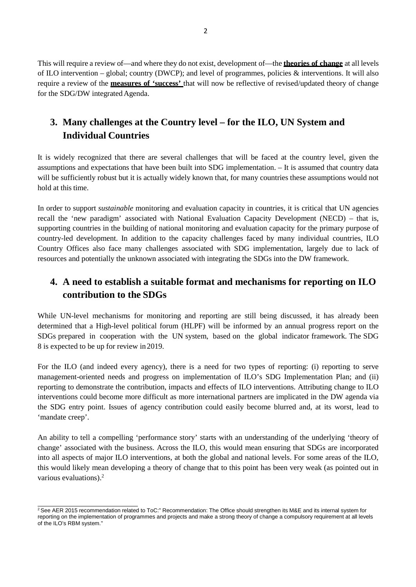This will require a review of—and where they do not exist, development of—the **theories of change** at all levels of ILO intervention – global; country (DWCP); and level of programmes, policies & interventions. It will also require a review of the **measures of 'success'** that will now be reflective of revised/updated theory of change for the SDG/DW integrated Agenda.

#### **3. Many challenges at the Country level – for the ILO, UN System and Individual Countries**

It is widely recognized that there are several challenges that will be faced at the country level, given the assumptions and expectations that have been built into SDG implementation. – It is assumed that country data will be sufficiently robust but it is actually widely known that, for many countries these assumptions would not hold at this time.

In order to support *sustainable* monitoring and evaluation capacity in countries, it is critical that UN agencies recall the 'new paradigm' associated with National Evaluation Capacity Development (NECD) – that is, supporting countries in the building of national monitoring and evaluation capacity for the primary purpose of country-led development. In addition to the capacity challenges faced by many individual countries, ILO Country Offices also face many challenges associated with SDG implementation, largely due to lack of resources and potentially the unknown associated with integrating the SDGs into the DW framework.

#### **4. A need to establish a suitable format and mechanisms for reporting on ILO contribution to the SDGs**

While UN-level mechanisms for monitoring and reporting are still being discussed, it has already been determined that a High-level political forum (HLPF) will be informed by an annual progress report on the SDGs prepared in cooperation with the UN system, based on the global indicator framework. The SDG 8 is expected to be up for review in 2019.

For the ILO (and indeed every agency), there is a need for two types of reporting: (i) reporting to serve management-oriented needs and progress on implementation of ILO's SDG Implementation Plan; and (ii) reporting to demonstrate the contribution, impacts and effects of ILO interventions. Attributing change to ILO interventions could become more difficult as more international partners are implicated in the DW agenda via the SDG entry point. Issues of agency contribution could easily become blurred and, at its worst, lead to 'mandate creep'.

An ability to tell a compelling 'performance story' starts with an understanding of the underlying 'theory of change' associated with the business. Across the ILO, this would mean ensuring that SDGs are incorporated into all aspects of major ILO interventions, at both the global and national levels. For some areas of the ILO, this would likely mean developing a theory of change that to this point has been very weak (as pointed out in various evaluations).2

<sup>&</sup>lt;sup>2</sup> See AER 2015 recommendation related to ToC:" Recommendation: The Office should strengthen its M&E and its internal system for reporting on the implementation of programmes and projects and make a strong theory of change a compulsory requirement at all levels of the ILO's RBM system."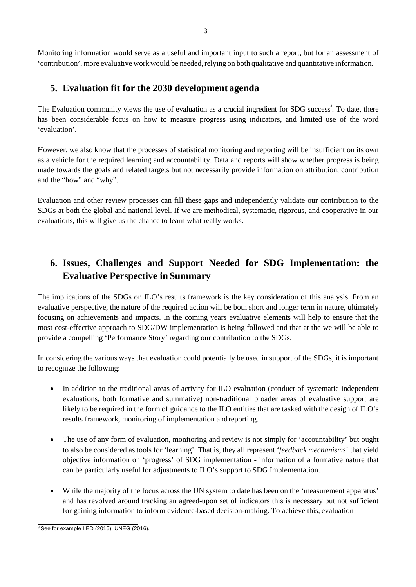Monitoring information would serve as a useful and important input to such a report, but for an assessment of 'contribution', more evaluative workwould be needed,relying on both qualitative and quantitative information.

#### **5. Evaluation fit for the 2030 development agenda**

The Evaluation community views the use of evaluation as a crucial ingredient for SDG success<sup>3</sup>. To date, there has been considerable focus on how to measure progress using indicators, and limited use of the word 'evaluation'.

However, we also know that the processes of statistical monitoring and reporting will be insufficient on its own as a vehicle for the required learning and accountability. Data and reports will show whether progress is being made towards the goals and related targets but not necessarily provide information on attribution, contribution and the "how" and "why".

Evaluation and other review processes can fill these gaps and independently validate our contribution to the SDGs at both the global and national level. If we are methodical, systematic, rigorous, and cooperative in our evaluations, this will give us the chance to learn what really works.

#### **6. Issues, Challenges and Support Needed for SDG Implementation: the Evaluative Perspective in Summary**

The implications of the SDGs on ILO's results framework is the key consideration of this analysis. From an evaluative perspective, the nature of the required action will be both short and longer term in nature, ultimately focusing on achievements and impacts. In the coming years evaluative elements will help to ensure that the most cost-effective approach to SDG/DW implementation is being followed and that at the we will be able to provide a compelling 'Performance Story' regarding our contribution to the SDGs.

In considering the various ways that evaluation could potentially be used in support of the SDGs, it is important to recognize the following:

- In addition to the traditional areas of activity for ILO evaluation (conduct of systematic independent evaluations, both formative and summative) non-traditional broader areas of evaluative support are likely to be required in the form of guidance to the ILO entities that are tasked with the design of ILO's results framework, monitoring of implementation andreporting.
- The use of any form of evaluation, monitoring and review is not simply for 'accountability' but ought to also be considered as tools for 'learning'. That is, they all represent '*feedback mechanisms*' that yield objective information on 'progress' of SDG implementation - information of a formative nature that can be particularly useful for adjustments to ILO's support to SDG Implementation.
- While the majority of the focus across the UN system to date has been on the 'measurement apparatus' and has revolved around tracking an agreed-upon set of indicators this is necessary but not sufficient for gaining information to inform evidence-based decision-making. To achieve this, evaluation

 $3$  See for example IIED (2016), UNEG (2016).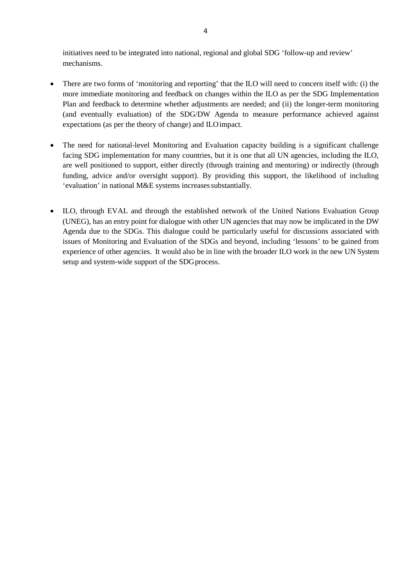initiatives need to be integrated into national, regional and global SDG 'follow-up and review' mechanisms.

- There are two forms of 'monitoring and reporting' that the ILO will need to concern itself with: (i) the more immediate monitoring and feedback on changes within the ILO as per the SDG Implementation Plan and feedback to determine whether adjustments are needed; and (ii) the longer-term monitoring (and eventually evaluation) of the SDG/DW Agenda to measure performance achieved against expectations (as per the theory of change) and ILOimpact.
- The need for national-level Monitoring and Evaluation capacity building is a significant challenge facing SDG implementation for many countries, but it is one that all UN agencies, including the ILO, are well positioned to support, either directly (through training and mentoring) or indirectly (through funding, advice and/or oversight support). By providing this support, the likelihood of including 'evaluation' in national M&E systems increases substantially.
- ILO, through EVAL and through the established network of the United Nations Evaluation Group (UNEG), has an entry point for dialogue with other UN agencies that may now be implicated in the DW Agenda due to the SDGs. This dialogue could be particularly useful for discussions associated with issues of Monitoring and Evaluation of the SDGs and beyond, including 'lessons' to be gained from experience of other agencies. It would also be in line with the broader ILO work in the new UN System setup and system-wide support of the SDG process.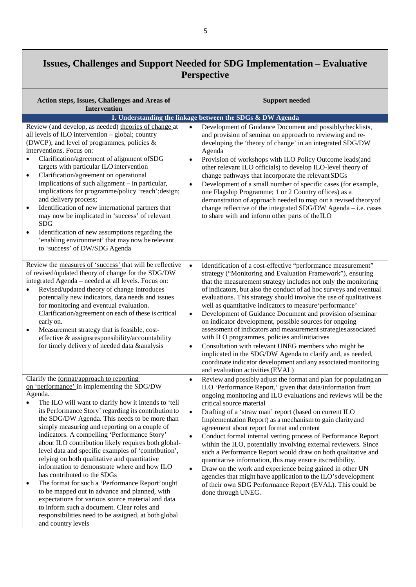### **Issues, Challenges and Support Needed for SDG Implementation – Evaluative Perspective**

| Action steps, Issues, Challenges and Areas of<br><b>Intervention</b>                                                                                                                                                                                                                                                                                                                                                                                                                                                                                                                                                                                                                                                                                                                                                                                                                                                 | <b>Support needed</b>                                                                                                                                                                                                                                                                                                                                                                                                                                                                                                                                                                                                                                                                                                                                                                                                                                                                                                                  |
|----------------------------------------------------------------------------------------------------------------------------------------------------------------------------------------------------------------------------------------------------------------------------------------------------------------------------------------------------------------------------------------------------------------------------------------------------------------------------------------------------------------------------------------------------------------------------------------------------------------------------------------------------------------------------------------------------------------------------------------------------------------------------------------------------------------------------------------------------------------------------------------------------------------------|----------------------------------------------------------------------------------------------------------------------------------------------------------------------------------------------------------------------------------------------------------------------------------------------------------------------------------------------------------------------------------------------------------------------------------------------------------------------------------------------------------------------------------------------------------------------------------------------------------------------------------------------------------------------------------------------------------------------------------------------------------------------------------------------------------------------------------------------------------------------------------------------------------------------------------------|
|                                                                                                                                                                                                                                                                                                                                                                                                                                                                                                                                                                                                                                                                                                                                                                                                                                                                                                                      | 1. Understanding the linkage between the SDGs & DW Agenda                                                                                                                                                                                                                                                                                                                                                                                                                                                                                                                                                                                                                                                                                                                                                                                                                                                                              |
| Review (and develop, as needed) theories of change at<br>all levels of ILO intervention - global; country<br>(DWCP); and level of programmes, policies &<br>interventions. Focus on:<br>Clarification/agreement of alignment of SDG<br>targets with particular ILO intervention<br>Clarification/agreement on operational<br>$\bullet$<br>implications of such alignment – in particular,<br>implications for programme/policy 'reach'; design;<br>and delivery process;<br>Identification of new international partners that<br>$\bullet$<br>may now be implicated in 'success' of relevant<br><b>SDG</b><br>Identification of new assumptions regarding the<br>$\bullet$<br>'enabling environment' that may now be relevant<br>to 'success' of DW/SDG Agenda                                                                                                                                                       | Development of Guidance Document and possiblychecklists,<br>$\bullet$<br>and provision of seminar on approach to reviewing and re-<br>developing the 'theory of change' in an integrated SDG/DW<br>Agenda<br>Provision of workshops with ILO Policy Outcome leads(and<br>$\bullet$<br>other relevant ILO officials) to develop ILO-level theory of<br>change pathways that incorporate the relevant SDGs<br>Development of a small number of specific cases (for example,<br>$\bullet$<br>one Flagship Programme; 1 or 2 Country offices) as a<br>demonstration of approach needed to map out a revised theory of<br>change reflective of the integrated SDG/DW Agenda - i.e. cases<br>to share with and inform other parts of the ILO                                                                                                                                                                                                 |
| Review the measures of 'success' that will be reflective<br>of revised/updated theory of change for the SDG/DW<br>integrated Agenda - needed at all levels. Focus on:<br>Revised/updated theory of change introduces<br>$\bullet$<br>potentially new indicators, data needs and issues<br>for monitoring and eventual evaluation.<br>Clarification/agreement on each of these is critical<br>early on.<br>Measurement strategy that is feasible, cost-<br>$\bullet$<br>effective & assignsresponsibility/accountability<br>for timely delivery of needed data & analysis                                                                                                                                                                                                                                                                                                                                             | $\bullet$<br>Identification of a cost-effective "performance measurement"<br>strategy ("Monitoring and Evaluation Framework"), ensuring<br>that the measurement strategy includes not only the monitoring<br>of indicators, but also the conduct of ad hoc surveys and eventual<br>evaluations. This strategy should involve the use of qualitative as<br>well as quantitative indicators to measure 'performance'<br>Development of Guidance Document and provision of seminar<br>$\bullet$<br>on indicator development, possible sources for ongoing<br>assessment of indicators and measurement strategies associated<br>with ILO programmes, policies and initiatives<br>Consultation with relevant UNEG members who might be<br>$\bullet$<br>implicated in the SDG/DW Agenda to clarify and, as needed,<br>coordinate indicator development and any associated monitoring<br>and evaluation activities (EVAL)                     |
| Clarify the format/approach to reporting<br>on 'performance' in implementing the SDG/DW<br>Agenda.<br>The ILO will want to clarify how it intends to 'tell<br>its Performance Story' regarding its contribution to<br>the SDG/DW Agenda. This needs to be more than<br>simply measuring and reporting on a couple of<br>indicators. A compelling 'Performance Story'<br>about ILO contribution likely requires both global-<br>level data and specific examples of 'contribution',<br>relying on both qualitative and quantitative<br>information to demonstrate where and how ILO<br>has contributed to the SDGs<br>The format for such a 'Performance Report' ought<br>$\bullet$<br>to be mapped out in advance and planned, with<br>expectations for various source material and data<br>to inform such a document. Clear roles and<br>responsibilities need to be assigned, at both global<br>and country levels | Review and possibly adjust the format and plan for populating an<br>$\bullet$<br>ILO 'Performance Report,' given that data/information from<br>ongoing monitoring and ILO evaluations and reviews will be the<br>critical source material<br>$\bullet$<br>Drafting of a 'straw man' report (based on current ILO<br>Implementation Report) as a mechanism to gain clarity and<br>agreement about report format and content<br>Conduct formal internal vetting process of Performance Report<br>$\bullet$<br>within the ILO, potentially involving external reviewers. Since<br>such a Performance Report would draw on both qualitative and<br>quantitative information, this may ensure its credibility.<br>Draw on the work and experience being gained in other UN<br>$\bullet$<br>agencies that might have application to the ILO's development<br>of their own SDG Performance Report (EVAL). This could be<br>done through UNEG. |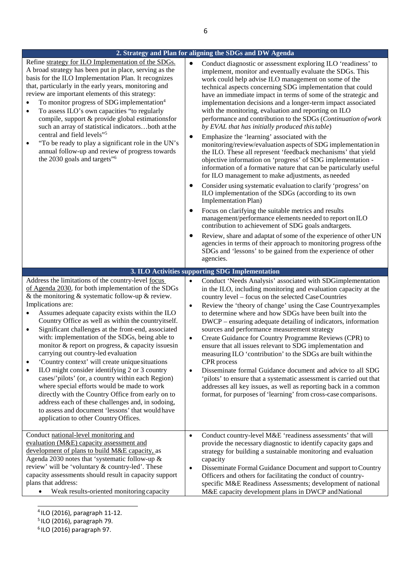|                                                                                                                                                                                                                                                                                                                                                                                                                                                                                                                                                                                                                                                                                                                                                                                                                                                                                                                                                  | 2. Strategy and Plan for aligning the SDGs and DW Agenda                                                                                                                                                                                                                                                                                                                                                                                                                                                                                                                                                                                                                                                                                                                                                                                                                                                                                                                                                                                                                                                                                                                                                                                                                                                                                                                                                                                                                                                                           |
|--------------------------------------------------------------------------------------------------------------------------------------------------------------------------------------------------------------------------------------------------------------------------------------------------------------------------------------------------------------------------------------------------------------------------------------------------------------------------------------------------------------------------------------------------------------------------------------------------------------------------------------------------------------------------------------------------------------------------------------------------------------------------------------------------------------------------------------------------------------------------------------------------------------------------------------------------|------------------------------------------------------------------------------------------------------------------------------------------------------------------------------------------------------------------------------------------------------------------------------------------------------------------------------------------------------------------------------------------------------------------------------------------------------------------------------------------------------------------------------------------------------------------------------------------------------------------------------------------------------------------------------------------------------------------------------------------------------------------------------------------------------------------------------------------------------------------------------------------------------------------------------------------------------------------------------------------------------------------------------------------------------------------------------------------------------------------------------------------------------------------------------------------------------------------------------------------------------------------------------------------------------------------------------------------------------------------------------------------------------------------------------------------------------------------------------------------------------------------------------------|
| Refine strategy for ILO Implementation of the SDGs.<br>A broad strategy has been put in place, serving as the<br>basis for the ILO Implementation Plan. It recognizes<br>that, particularly in the early years, monitoring and<br>review are important elements of this strategy:<br>To monitor progress of SDG implementation <sup>4</sup><br>$\bullet$<br>To assess ILO's own capacities "to regularly<br>$\bullet$<br>compile, support & provide global estimationsfor<br>such an array of statistical indicatorsboth at the<br>central and field levels" <sup>5</sup><br>"To be ready to play a significant role in the UN's<br>$\bullet$<br>annual follow-up and review of progress towards<br>the 2030 goals and targets" <sup>6</sup>                                                                                                                                                                                                     | $\bullet$<br>Conduct diagnostic or assessment exploring ILO 'readiness' to<br>implement, monitor and eventually evaluate the SDGs. This<br>work could help advise ILO management on some of the<br>technical aspects concerning SDG implementation that could<br>have an immediate impact in terms of some of the strategic and<br>implementation decisions and a longer-term impact associated<br>with the monitoring, evaluation and reporting on ILO<br>performance and contribution to the SDGs (Continuation of work<br>by EVAL that has initially produced this table)<br>Emphasize the 'learning' associated with the<br>$\bullet$<br>monitoring/review/evaluation aspects of SDG implementation in<br>the ILO. These all represent 'feedback mechanisms' that yield<br>objective information on 'progress' of SDG implementation -<br>information of a formative nature that can be particularly useful<br>for ILO management to make adjustments, as needed<br>Consider using systematic evaluation to clarify 'progress' on<br>$\bullet$<br>ILO implementation of the SDGs (according to its own<br>Implementation Plan)<br>Focus on clarifying the suitable metrics and results<br>management/performance elements needed to report on ILO<br>contribution to achievement of SDG goals andtargets.<br>Review, share and adaptat of some of the experience of other UN<br>agencies in terms of their approach to monitoring progress of the<br>SDGs and 'lessons' to be gained from the experience of other<br>agencies. |
|                                                                                                                                                                                                                                                                                                                                                                                                                                                                                                                                                                                                                                                                                                                                                                                                                                                                                                                                                  | 3. ILO Activities supporting SDG Implementation                                                                                                                                                                                                                                                                                                                                                                                                                                                                                                                                                                                                                                                                                                                                                                                                                                                                                                                                                                                                                                                                                                                                                                                                                                                                                                                                                                                                                                                                                    |
| Address the limitations of the country-level focus<br>of Agenda 2030, for both implementation of the SDGs<br>& the monitoring $&$ systematic follow-up $&$ review.<br>Implications are:<br>Assumes adequate capacity exists within the ILO<br>Country Office as well as within the countryitself.<br>Significant challenges at the front-end, associated<br>$\bullet$<br>with: implementation of the SDGs, being able to<br>monitor & report on progress, & capacity issuesin<br>carrying out country-led evaluation<br>'Country context' will create unique situations<br>ILO might consider identifying 2 or 3 country<br>$\bullet$<br>cases/'pilots' (or, a country within each Region)<br>where special efforts would be made to work<br>directly with the Country Office from early on to<br>address each of these challenges and, in sodoing,<br>to assess and document 'lessons' that would have<br>application to other Country Offices. | Conduct 'Needs Analysis' associated with SDGimplementation<br>$\bullet$<br>in the ILO, including monitoring and evaluation capacity at the<br>country level - focus on the selected Case Countries<br>Review the 'theory of change' using the Case Country examples<br>$\bullet$<br>to determine where and how SDGs have been built into the<br>DWCP – ensuring adequate detailing of indicators, information<br>sources and performance measurement strategy<br>Create Guidance for Country Programme Reviews (CPR) to<br>$\bullet$<br>ensure that all issues relevant to SDG implementation and<br>measuring ILO 'contribution' to the SDGs are built within the<br>CPR process<br>Disseminate formal Guidance document and advice to all SDG<br>$\bullet$<br>'pilots' to ensure that a systematic assessment is carried out that<br>addresses all key issues, as well as reporting back in a common<br>format, for purposes of 'learning' from cross-case comparisons.                                                                                                                                                                                                                                                                                                                                                                                                                                                                                                                                                          |
| Conduct national-level monitoring and<br>evaluation (M&E) capacity assessment and<br>development of plans to build M&E capacity, as<br>Agenda 2030 notes that 'systematic follow-up $\&$<br>review' will be 'voluntary & country-led'. These<br>capacity assessments should result in capacity support<br>plans that address:<br>Weak results-oriented monitoring capacity<br>$\bullet$                                                                                                                                                                                                                                                                                                                                                                                                                                                                                                                                                          | Conduct country-level M&E 'readiness assessments' that will<br>$\bullet$<br>provide the necessary diagnostic to identify capacity gaps and<br>strategy for building a sustainable monitoring and evaluation<br>capacity<br>Disseminate Formal Guidance Document and support to Country<br>$\bullet$<br>Officers and others for facilitating the conduct of country-<br>specific M&E Readiness Assessments; development of national<br>M&E capacity development plans in DWCP and National                                                                                                                                                                                                                                                                                                                                                                                                                                                                                                                                                                                                                                                                                                                                                                                                                                                                                                                                                                                                                                          |

4 ILO (2016), paragraph 11-12.

5 ILO (2016), paragraph 79.

 $6$ ILO (2016) paragraph 97.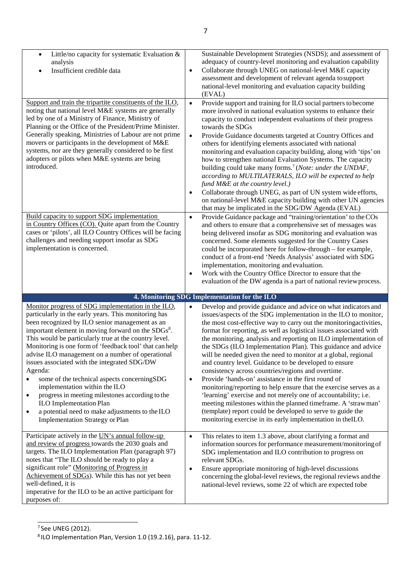| Little/no capacity for systematic Evaluation $\&$<br>analysis<br>Insufficient credible data<br>Support and train the tripartite constituents of the ILO,<br>noting that national level M&E systems are generally<br>led by one of a Ministry of Finance, Ministry of<br>Planning or the Office of the President/Prime Minister.<br>Generally speaking, Ministries of Labour are not prime<br>movers or participants in the development of M&E<br>systems, nor are they generally considered to be first<br>adopters or pilots when M&E systems are being<br>introduced.<br>Build capacity to support SDG implementation<br>in Country Offices (CO). Quite apart from the Country<br>cases or 'pilots', all ILO Country Offices will be facing<br>challenges and needing support insofar as SDG | Sustainable Development Strategies (NSDS); and assessment of<br>adequacy of country-level monitoring and evaluation capability<br>Collaborate through UNEG on national-level M&E capacity<br>$\bullet$<br>assessment and development of relevant agenda to support<br>national-level monitoring and evaluation capacity building<br>(EVAL)<br>Provide support and training for ILO social partners to become<br>$\bullet$<br>more involved in national evaluation systems to enhance their<br>capacity to conduct independent evaluations of their progress<br>towards the SDGs<br>Provide Guidance documents targeted at Country Offices and<br>$\bullet$<br>others for identifying elements associated with national<br>monitoring and evaluation capacity building, along with 'tips' on<br>how to strengthen national Evaluation Systems. The capacity<br>building could take many forms. <sup>7</sup> (Note: under the UNDAF,<br>according to MULTILATERALS, ILO will be expected to help<br>fund M&E at the country level.)<br>Collaborate through UNEG, as part of UN system wide efforts,<br>$\bullet$<br>on national-level M&E capacity building with other UN agencies<br>that may be implicated in the SDG/DW Agenda (EVAL)<br>Provide Guidance package and "training/orientation' to the COs<br>$\bullet$<br>and others to ensure that a comprehensive set of messages was<br>being delivered insofar as SDG monitoring and evaluation was<br>concerned. Some elements suggested for the Country Cases |
|------------------------------------------------------------------------------------------------------------------------------------------------------------------------------------------------------------------------------------------------------------------------------------------------------------------------------------------------------------------------------------------------------------------------------------------------------------------------------------------------------------------------------------------------------------------------------------------------------------------------------------------------------------------------------------------------------------------------------------------------------------------------------------------------|--------------------------------------------------------------------------------------------------------------------------------------------------------------------------------------------------------------------------------------------------------------------------------------------------------------------------------------------------------------------------------------------------------------------------------------------------------------------------------------------------------------------------------------------------------------------------------------------------------------------------------------------------------------------------------------------------------------------------------------------------------------------------------------------------------------------------------------------------------------------------------------------------------------------------------------------------------------------------------------------------------------------------------------------------------------------------------------------------------------------------------------------------------------------------------------------------------------------------------------------------------------------------------------------------------------------------------------------------------------------------------------------------------------------------------------------------------------------------------------------------------------------|
| implementation is concerned.                                                                                                                                                                                                                                                                                                                                                                                                                                                                                                                                                                                                                                                                                                                                                                   | could be incorporated here for follow-through – for example,<br>conduct of a front-end 'Needs Analysis' associated with SDG<br>implementation, monitoring and evaluation.<br>Work with the Country Office Director to ensure that the<br>$\bullet$<br>evaluation of the DW agenda is a part of national review process.                                                                                                                                                                                                                                                                                                                                                                                                                                                                                                                                                                                                                                                                                                                                                                                                                                                                                                                                                                                                                                                                                                                                                                                            |
|                                                                                                                                                                                                                                                                                                                                                                                                                                                                                                                                                                                                                                                                                                                                                                                                | 4. Monitoring SDG Implementation for the ILO                                                                                                                                                                                                                                                                                                                                                                                                                                                                                                                                                                                                                                                                                                                                                                                                                                                                                                                                                                                                                                                                                                                                                                                                                                                                                                                                                                                                                                                                       |
| Monitor progress of SDG implementation in the ILO,<br>particularly in the early years. This monitoring has<br>been recognized by ILO senior management as an<br>important element in moving forward on the SDGs <sup>8</sup> .<br>This would be particularly true at the country level.<br>Monitoring is one form of 'feedback tool' that can help<br>advise ILO management on a number of operational<br>issues associated with the integrated SDG/DW<br>Agenda:<br>some of the technical aspects concerningSDG<br>$\bullet$<br>implementation within the ILO<br>progress in meeting milestones according to the<br>$\bullet$<br><b>ILO Implementation Plan</b><br>a potential need to make adjustments to the ILO<br>$\bullet$<br><b>Implementation Strategy or Plan</b>                     | Develop and provide guidance and advice on what indicators and<br>$\bullet$<br>issues/aspects of the SDG implementation in the ILO to monitor,<br>the most cost-effective way to carry out the monitoring activities,<br>format for reporting, as well as logistical issues associated with<br>the monitoring, analysis and reporting on ILO implementation of<br>the SDGs (ILO Implementation Plan). This guidance and advice<br>will be needed given the need to monitor at a global, regional<br>and country level. Guidance to be developed to ensure<br>consistency across countries/regions and overtime.<br>Provide 'hands-on' assistance in the first round of<br>$\bullet$<br>monitoring/reporting to help ensure that the exercise serves as a<br>'learning' exercise and not merely one of accountability; i.e.<br>meeting milestones within the planned timeframe. A 'strawman'<br>(template) report could be developed to serve to guide the<br>monitoring exercise in its early implementation in theILO.                                                                                                                                                                                                                                                                                                                                                                                                                                                                                            |
| Participate actively in the UN's annual follow-up<br>and review of progress towards the 2030 goals and<br>targets. The ILO Implementation Plan (paragraph 97)<br>notes that "The ILO should be ready to play a<br>significant role" (Monitoring of Progress in<br>Achievement of SDGs). While this has not yet been<br>well-defined, it is<br>imperative for the ILO to be an active participant for<br>purposes of:                                                                                                                                                                                                                                                                                                                                                                           | This relates to item 1.3 above, about clarifying a format and<br>$\bullet$<br>information sources for performance measurement/monitoring of<br>SDG implementation and ILO contribution to progress on<br>relevant SDGs.<br>Ensure appropriate monitoring of high-level discussions<br>$\bullet$<br>concerning the global-level reviews, the regional reviews and the<br>national-level reviews, some 22 of which are expected tobe                                                                                                                                                                                                                                                                                                                                                                                                                                                                                                                                                                                                                                                                                                                                                                                                                                                                                                                                                                                                                                                                                 |

<sup>&</sup>lt;sup>7</sup> See UNEG (2012).

<sup>8</sup> ILO Implementation Plan, Version 1.0 (19.2.16), para. 11-12.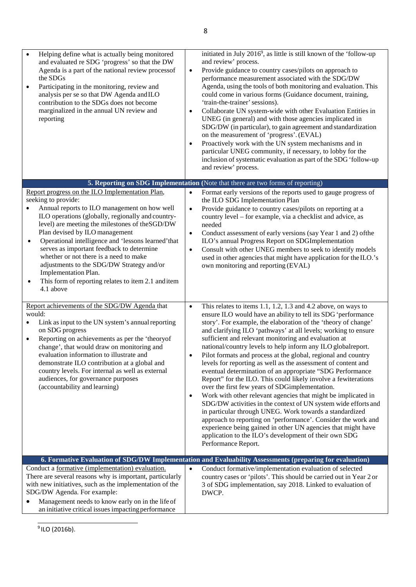| Helping define what is actually being monitored<br>and evaluated re SDG 'progress' so that the DW<br>Agenda is a part of the national review processof<br>the SDGs<br>Participating in the monitoring, review and<br>$\bullet$<br>analysis per se so that DW Agenda and ILO<br>contribution to the SDGs does not become<br>marginalized in the annual UN review and<br>reporting                                                                                                                                                                             | initiated in July 2016 <sup>9</sup> , as little is still known of the 'follow-up<br>and review' process.<br>Provide guidance to country cases/pilots on approach to<br>$\bullet$<br>performance measurement associated with the SDG/DW<br>Agenda, using the tools of both monitoring and evaluation. This<br>could come in various forms (Guidance document, training,<br>'train-the-trainer' sessions).<br>Collaborate UN system-wide with other Evaluation Entities in<br>$\bullet$<br>UNEG (in general) and with those agencies implicated in<br>SDG/DW (in particular), to gain agreement and standardization<br>on the measurement of 'progress'. (EVAL)<br>Proactively work with the UN system mechanisms and in<br>$\bullet$<br>particular UNEG community, if necessary, to lobby for the<br>inclusion of systematic evaluation as part of the SDG 'follow-up<br>and review' process.                                                                                                                                                                                                                                                                        |
|--------------------------------------------------------------------------------------------------------------------------------------------------------------------------------------------------------------------------------------------------------------------------------------------------------------------------------------------------------------------------------------------------------------------------------------------------------------------------------------------------------------------------------------------------------------|---------------------------------------------------------------------------------------------------------------------------------------------------------------------------------------------------------------------------------------------------------------------------------------------------------------------------------------------------------------------------------------------------------------------------------------------------------------------------------------------------------------------------------------------------------------------------------------------------------------------------------------------------------------------------------------------------------------------------------------------------------------------------------------------------------------------------------------------------------------------------------------------------------------------------------------------------------------------------------------------------------------------------------------------------------------------------------------------------------------------------------------------------------------------|
|                                                                                                                                                                                                                                                                                                                                                                                                                                                                                                                                                              | 5. Reporting on SDG Implementation (Note that there are two forms of reporting)                                                                                                                                                                                                                                                                                                                                                                                                                                                                                                                                                                                                                                                                                                                                                                                                                                                                                                                                                                                                                                                                                     |
| Report progress on the ILO Implementation Plan,<br>seeking to provide:<br>Annual reports to ILO management on how well<br>ILO operations (globally, regionally and country-<br>level) are meeting the milestones of the SGD/DW<br>Plan devised by ILO management<br>Operational intelligence and 'lessons learned' that<br>٠<br>serves as important feedback to determine<br>whether or not there is a need to make<br>adjustments to the SDG/DW Strategy and/or<br>Implementation Plan.<br>This form of reporting relates to item 2.1 and item<br>4.1 above | Format early versions of the reports used to gauge progress of<br>the ILO SDG Implementation Plan<br>Provide guidance to country cases/pilots on reporting at a<br>$\bullet$<br>country level - for example, via a checklist and advice, as<br>needed<br>Conduct assessment of early versions (say Year 1 and 2) of the<br>$\bullet$<br>ILO's annual Progress Report on SDGImplementation<br>Consult with other UNEG members to seek to identify models<br>$\bullet$<br>used in other agencies that might have application for the ILO.'s<br>own monitoring and reporting (EVAL)                                                                                                                                                                                                                                                                                                                                                                                                                                                                                                                                                                                    |
| Report achievements of the SDG/DW Agenda that<br>would:<br>Link as input to the UN system's annual reporting<br>on SDG progress<br>Reporting on achievements as per the 'theoryof<br>$\bullet$<br>change', that would draw on monitoring and<br>evaluation information to illustrate and<br>demonstrate ILO contribution at a global and<br>country levels. For internal as well as external<br>audiences, for governance purposes<br>(accountability and learning)                                                                                          | This relates to items 1.1, 1.2, 1.3 and 4.2 above, on ways to<br>$\bullet$<br>ensure ILO would have an ability to tell its SDG 'performance<br>story'. For example, the elaboration of the 'theory of change'<br>and clarifying ILO 'pathways' at all levels; working to ensure<br>sufficient and relevant monitoring and evaluation at<br>national/country levels to help inform any ILO globalreport.<br>Pilot formats and process at the global, regional and country<br>$\bullet$<br>levels for reporting as well as the assessment of content and<br>eventual determination of an appropriate "SDG Performance<br>Report" for the ILO. This could likely involve a fewiterations<br>over the first few years of SDGimplementation.<br>Work with other relevant agencies that might be implicated in<br>$\bullet$<br>SDG/DW activities in the context of UN system wide efforts and<br>in particular through UNEG. Work towards a standardized<br>approach to reporting on 'performance'. Consider the work and<br>experience being gained in other UN agencies that might have<br>application to the ILO's development of their own SDG<br>Performance Report. |
|                                                                                                                                                                                                                                                                                                                                                                                                                                                                                                                                                              | 6. Formative Evaluation of SDG/DW Implementation and Evaluability Assessments (preparing for evaluation)                                                                                                                                                                                                                                                                                                                                                                                                                                                                                                                                                                                                                                                                                                                                                                                                                                                                                                                                                                                                                                                            |
| Conduct a formative (implementation) evaluation.<br>There are several reasons why is important, particularly<br>with new initiatives, such as the implementation of the<br>SDG/DW Agenda. For example:<br>Management needs to know early on in the life of<br>an initiative critical issues impacting performance                                                                                                                                                                                                                                            | Conduct formative/implementation evaluation of selected<br>$\bullet$<br>country cases or 'pilots'. This should be carried out in Year 2 or<br>3 of SDG implementation, say 2018. Linked to evaluation of<br>DWCP.                                                                                                                                                                                                                                                                                                                                                                                                                                                                                                                                                                                                                                                                                                                                                                                                                                                                                                                                                   |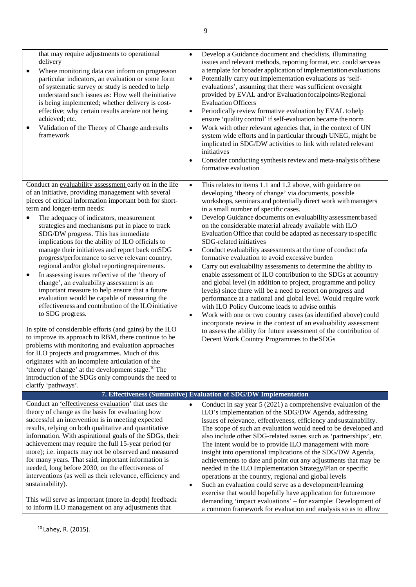| that may require adjustments to operational<br>delivery<br>Where monitoring data can inform on progresson<br>particular indicators, an evaluation or some form<br>of systematic survey or study is needed to help<br>understand such issues as: How well the initiative<br>is being implemented; whether delivery is cost-<br>effective; why certain results are/are not being<br>achieved; etc.<br>Validation of the Theory of Change andresults<br>framework                                                                                                                                                                                                                                                                                                                                                                                                                                                                                                                                                                                                                                                                                                                                                                                                                                       | Develop a Guidance document and checklists, illuminating<br>$\bullet$<br>issues and relevant methods, reporting format, etc. could serve as<br>a template for broader application of implementation evaluations<br>Potentially carry out implementation evaluations as 'self-<br>$\bullet$<br>evaluations', assuming that there was sufficient oversight<br>provided by EVAL and/or Evaluation focalpoints/Regional<br><b>Evaluation Officers</b><br>Periodically review formative evaluation by EVAL to help<br>$\bullet$<br>ensure 'quality control' if self-evaluation became the norm<br>Work with other relevant agencies that, in the context of UN<br>$\bullet$<br>system wide efforts and in particular through UNEG, might be<br>implicated in SDG/DW activities to link with related relevant<br>initiatives<br>Consider conducting synthesis review and meta-analysis of these<br>$\bullet$<br>formative evaluation                                                                                                                                                                                                                                                                                                                                                            |
|------------------------------------------------------------------------------------------------------------------------------------------------------------------------------------------------------------------------------------------------------------------------------------------------------------------------------------------------------------------------------------------------------------------------------------------------------------------------------------------------------------------------------------------------------------------------------------------------------------------------------------------------------------------------------------------------------------------------------------------------------------------------------------------------------------------------------------------------------------------------------------------------------------------------------------------------------------------------------------------------------------------------------------------------------------------------------------------------------------------------------------------------------------------------------------------------------------------------------------------------------------------------------------------------------|-------------------------------------------------------------------------------------------------------------------------------------------------------------------------------------------------------------------------------------------------------------------------------------------------------------------------------------------------------------------------------------------------------------------------------------------------------------------------------------------------------------------------------------------------------------------------------------------------------------------------------------------------------------------------------------------------------------------------------------------------------------------------------------------------------------------------------------------------------------------------------------------------------------------------------------------------------------------------------------------------------------------------------------------------------------------------------------------------------------------------------------------------------------------------------------------------------------------------------------------------------------------------------------------|
| Conduct an evaluability assessment early on in the life<br>of an initiative, providing management with several<br>pieces of critical information important both for short-<br>term and longer-term needs:<br>The adequacy of indicators, measurement<br>$\bullet$<br>strategies and mechanisms put in place to track<br>SDG/DW progress. This has immediate<br>implications for the ability of ILO officials to<br>manage their initiatives and report back onSDG<br>progress/performance to serve relevant country,<br>regional and/or global reporting<br>requirements.<br>In assessing issues reflective of the 'theory of<br>$\bullet$<br>change', an evaluability assessment is an<br>important measure to help ensure that a future<br>evaluation would be capable of measuring the<br>effectiveness and contribution of the ILO initiative<br>to SDG progress.<br>In spite of considerable efforts (and gains) by the ILO<br>to improve its approach to RBM, there continue to be<br>problems with monitoring and evaluation approaches<br>for ILO projects and programmes. Much of this<br>originates with an incomplete articulation of the<br>'theory of change' at the development stage. <sup>10</sup> The<br>introduction of the SDGs only compounds the need to<br>clarify 'pathways'. | This relates to items 1.1 and 1.2 above, with guidance on<br>$\bullet$<br>developing 'theory of change' via documents, possible<br>workshops, seminars and potentially direct work with managers<br>in a small number of specific cases.<br>Develop Guidance documents on evaluability assessment based<br>$\bullet$<br>on the considerable material already available with ILO<br>Evaluation Office that could be adapted as necessary to specific<br>SDG-related initiatives<br>Conduct evaluability assessments at the time of conduct of a<br>$\bullet$<br>formative evaluation to avoid excessive burden<br>Carry out evaluability assessments to determine the ability to<br>$\bullet$<br>enable assessment of ILO contribution to the SDGs at acountry<br>and global level (in addition to project, programme and policy<br>levels) since there will be a need to report on progress and<br>performance at a national and global level. Would require work<br>with ILO Policy Outcome leads to advise onthis<br>Work with one or two country cases (as identified above) could<br>$\bullet$<br>incorporate review in the context of an evaluability assessment<br>to assess the ability for future assessment of the contribution of<br>Decent Work Country Programmes to the SDGs |
| Conduct an <i>'effectiveness</i> evaluation' that uses the                                                                                                                                                                                                                                                                                                                                                                                                                                                                                                                                                                                                                                                                                                                                                                                                                                                                                                                                                                                                                                                                                                                                                                                                                                           | 7. Effectiveness (Summative) Evaluation of SDG/DW Implementation<br>Conduct in say year $5(2021)$ a comprehensive evaluation of the<br>$\bullet$                                                                                                                                                                                                                                                                                                                                                                                                                                                                                                                                                                                                                                                                                                                                                                                                                                                                                                                                                                                                                                                                                                                                          |
| theory of change as the basis for evaluating how<br>successful an intervention is in meeting expected<br>results, relying on both qualitative and quantitative<br>information. With aspirational goals of the SDGs, their<br>achievement may require the full 15-year period (or<br>more); i.e. impacts may not be observed and measured<br>for many years. That said, important information is<br>needed, long before 2030, on the effectiveness of<br>interventions (as well as their relevance, efficiency and<br>sustainability).<br>This will serve as important (more in-depth) feedback<br>to inform ILO management on any adjustments that                                                                                                                                                                                                                                                                                                                                                                                                                                                                                                                                                                                                                                                   | ILO's implementation of the SDG/DW Agenda, addressing<br>issues of relevance, effectiveness, efficiency and sustainability.<br>The scope of such an evaluation would need to be developed and<br>also include other SDG-related issues such as 'partnerships', etc.<br>The intent would be to provide ILO management with more<br>insight into operational implications of the SDG/DW Agenda,<br>achievements to date and point out any adjustments that may be<br>needed in the ILO Implementation Strategy/Plan or specific<br>operations at the country, regional and global levels<br>Such an evaluation could serve as a development/learning<br>$\bullet$<br>exercise that would hopefully have application for future more<br>demanding 'impact evaluations' - for example: Development of<br>a common framework for evaluation and analysis so as to allow                                                                                                                                                                                                                                                                                                                                                                                                                        |